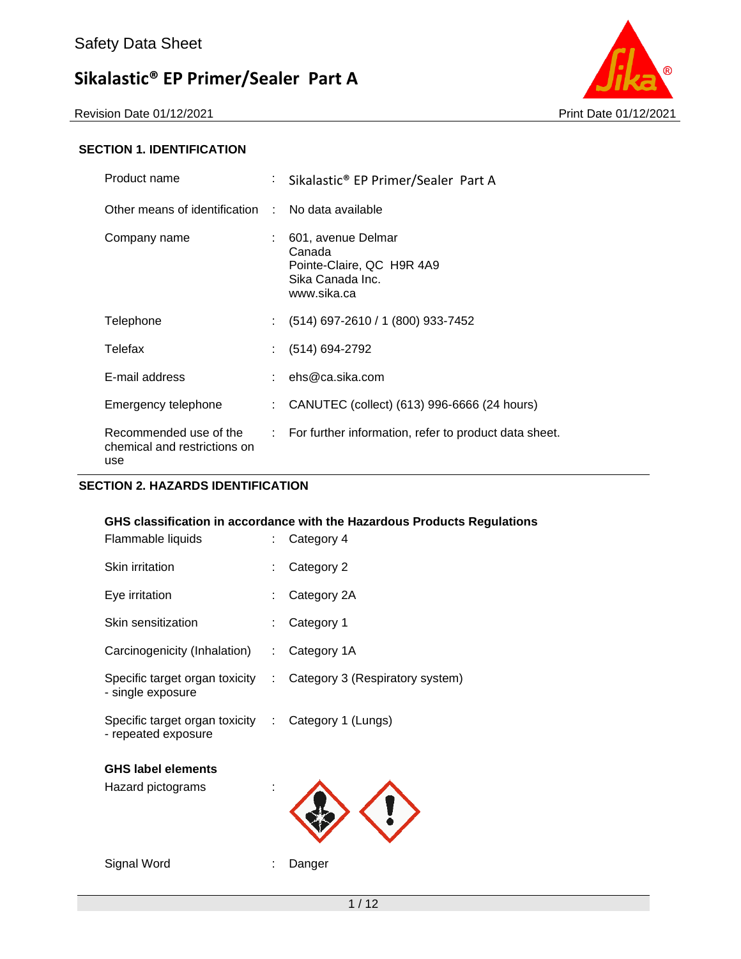

#### **SECTION 1. IDENTIFICATION**

| Product name                                                  | : Sikalastic® EP Primer/Sealer Part A                                                        |
|---------------------------------------------------------------|----------------------------------------------------------------------------------------------|
| Other means of identification : No data available             |                                                                                              |
| Company name                                                  | 601, avenue Delmar<br>Canada<br>Pointe-Claire, QC H9R 4A9<br>Sika Canada Inc.<br>www.sika.ca |
| Telephone                                                     | (514) 697-2610 / 1 (800) 933-7452                                                            |
| Telefax                                                       | (514) 694-2792                                                                               |
| E-mail address                                                | : $ehs@ca.sika.com$                                                                          |
| Emergency telephone                                           | CANUTEC (collect) (613) 996-6666 (24 hours)                                                  |
| Recommended use of the<br>chemical and restrictions on<br>use | $\therefore$ For further information, refer to product data sheet.                           |

#### **SECTION 2. HAZARDS IDENTIFICATION**

#### **GHS classification in accordance with the Hazardous Products Regulations**

| Flammable liquids                                                          | t. | Category 4                      |
|----------------------------------------------------------------------------|----|---------------------------------|
| Skin irritation                                                            |    | Category 2                      |
| Eye irritation                                                             |    | Category 2A                     |
| Skin sensitization                                                         |    | Category 1                      |
| Carcinogenicity (Inhalation)                                               |    | : Category 1A                   |
| Specific target organ toxicity :<br>- single exposure                      |    | Category 3 (Respiratory system) |
| Specific target organ toxicity : Category 1 (Lungs)<br>- repeated exposure |    |                                 |
| <b>GHS label elements</b><br>Hazard pictograms                             |    |                                 |
| Signal Word                                                                |    | Danger                          |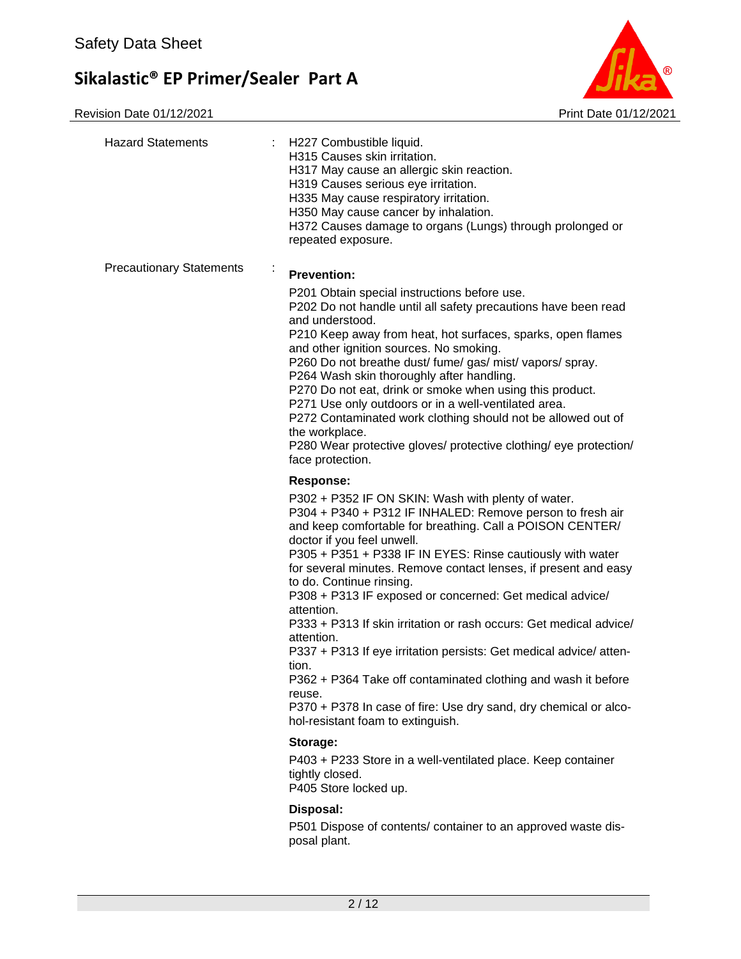

| <b>Hazard Statements</b><br>÷.  | H227 Combustible liquid.<br>H315 Causes skin irritation.<br>H317 May cause an allergic skin reaction.<br>H319 Causes serious eye irritation.<br>H335 May cause respiratory irritation.<br>H350 May cause cancer by inhalation.<br>H372 Causes damage to organs (Lungs) through prolonged or<br>repeated exposure.                                                                                                                                                                                                                                                                                                                                                                                                                                                                                                    |
|---------------------------------|----------------------------------------------------------------------------------------------------------------------------------------------------------------------------------------------------------------------------------------------------------------------------------------------------------------------------------------------------------------------------------------------------------------------------------------------------------------------------------------------------------------------------------------------------------------------------------------------------------------------------------------------------------------------------------------------------------------------------------------------------------------------------------------------------------------------|
| <b>Precautionary Statements</b> | <b>Prevention:</b><br>P201 Obtain special instructions before use.<br>P202 Do not handle until all safety precautions have been read<br>and understood.<br>P210 Keep away from heat, hot surfaces, sparks, open flames<br>and other ignition sources. No smoking.<br>P260 Do not breathe dust/ fume/ gas/ mist/ vapors/ spray.<br>P264 Wash skin thoroughly after handling.<br>P270 Do not eat, drink or smoke when using this product.<br>P271 Use only outdoors or in a well-ventilated area.<br>P272 Contaminated work clothing should not be allowed out of<br>the workplace.<br>P280 Wear protective gloves/ protective clothing/ eye protection/<br>face protection.                                                                                                                                           |
|                                 | Response:<br>P302 + P352 IF ON SKIN: Wash with plenty of water.<br>P304 + P340 + P312 IF INHALED: Remove person to fresh air<br>and keep comfortable for breathing. Call a POISON CENTER/<br>doctor if you feel unwell.<br>P305 + P351 + P338 IF IN EYES: Rinse cautiously with water<br>for several minutes. Remove contact lenses, if present and easy<br>to do. Continue rinsing.<br>P308 + P313 IF exposed or concerned: Get medical advice/<br>attention.<br>P333 + P313 If skin irritation or rash occurs: Get medical advice/<br>attention.<br>P337 + P313 If eye irritation persists: Get medical advice/atten-<br>tion.<br>P362 + P364 Take off contaminated clothing and wash it before<br>reuse.<br>P370 + P378 In case of fire: Use dry sand, dry chemical or alco-<br>hol-resistant foam to extinguish. |
|                                 | Storage:<br>P403 + P233 Store in a well-ventilated place. Keep container<br>tightly closed.<br>P405 Store locked up.<br>Disposal:<br>P501 Dispose of contents/ container to an approved waste dis-                                                                                                                                                                                                                                                                                                                                                                                                                                                                                                                                                                                                                   |
|                                 | posal plant.                                                                                                                                                                                                                                                                                                                                                                                                                                                                                                                                                                                                                                                                                                                                                                                                         |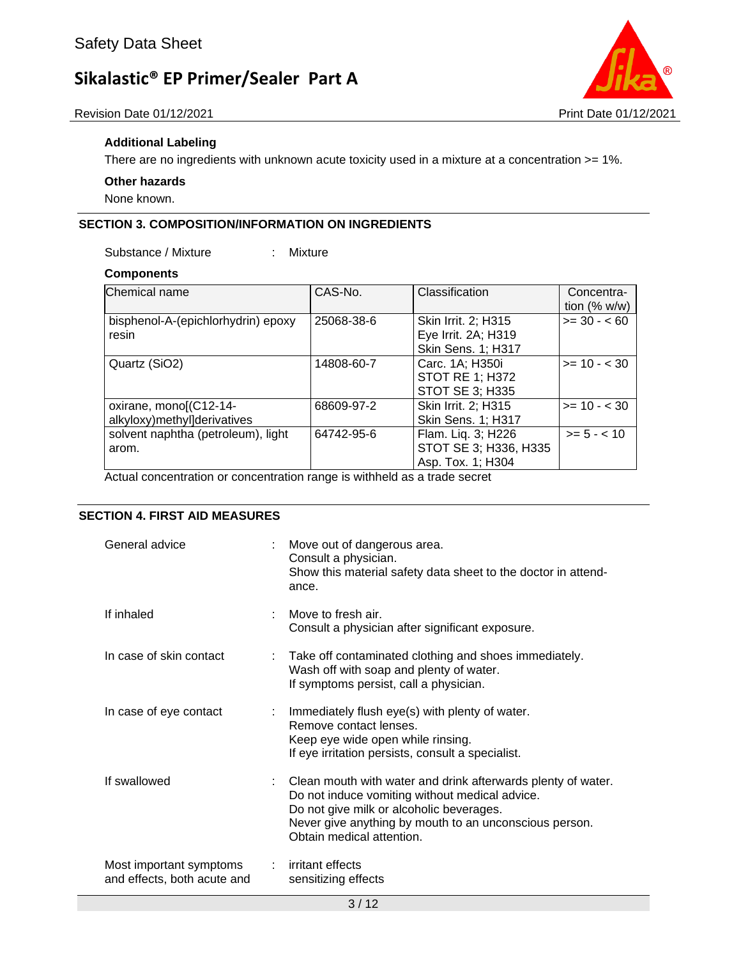



#### **Additional Labeling**

There are no ingredients with unknown acute toxicity used in a mixture at a concentration >= 1%.

#### **Other hazards**

None known.

#### **SECTION 3. COMPOSITION/INFORMATION ON INGREDIENTS**

Substance / Mixture : Mixture

## **Components**

| Chemical name                                         | CAS-No.    | Classification                                                          | Concentra-<br>tion $(\% w/w)$ |
|-------------------------------------------------------|------------|-------------------------------------------------------------------------|-------------------------------|
| bisphenol-A-(epichlorhydrin) epoxy<br>resin           | 25068-38-6 | Skin Irrit. 2; H315<br>Eye Irrit. 2A; H319<br><b>Skin Sens. 1; H317</b> | $>= 30 - 60$                  |
| Quartz (SiO2)                                         | 14808-60-7 | Carc. 1A; H350i<br><b>STOT RE 1; H372</b><br><b>STOT SE 3; H335</b>     | $>= 10 - < 30$                |
| oxirane, mono[(C12-14-<br>alkyloxy)methyl]derivatives | 68609-97-2 | Skin Irrit. 2; H315<br><b>Skin Sens. 1; H317</b>                        | $>= 10 - 30$                  |
| solvent naphtha (petroleum), light<br>arom.           | 64742-95-6 | Flam. Liq. 3; H226<br>STOT SE 3; H336, H335<br>Asp. Tox. 1; H304        | $>= 5 - < 10$                 |

Actual concentration or concentration range is withheld as a trade secret

#### **SECTION 4. FIRST AID MEASURES**

| General advice                                         | : Move out of dangerous area.<br>Consult a physician.<br>Show this material safety data sheet to the doctor in attend-<br>ance.                                                                                                                     |
|--------------------------------------------------------|-----------------------------------------------------------------------------------------------------------------------------------------------------------------------------------------------------------------------------------------------------|
| If inhaled                                             | Move to fresh air.<br>Consult a physician after significant exposure.                                                                                                                                                                               |
| In case of skin contact                                | : Take off contaminated clothing and shoes immediately.<br>Wash off with soap and plenty of water.<br>If symptoms persist, call a physician.                                                                                                        |
| In case of eye contact                                 | : Immediately flush eye(s) with plenty of water.<br>Remove contact lenses.<br>Keep eye wide open while rinsing.<br>If eye irritation persists, consult a specialist.                                                                                |
| If swallowed                                           | : Clean mouth with water and drink afterwards plenty of water.<br>Do not induce vomiting without medical advice.<br>Do not give milk or alcoholic beverages.<br>Never give anything by mouth to an unconscious person.<br>Obtain medical attention. |
| Most important symptoms<br>and effects, both acute and | : irritant effects<br>sensitizing effects                                                                                                                                                                                                           |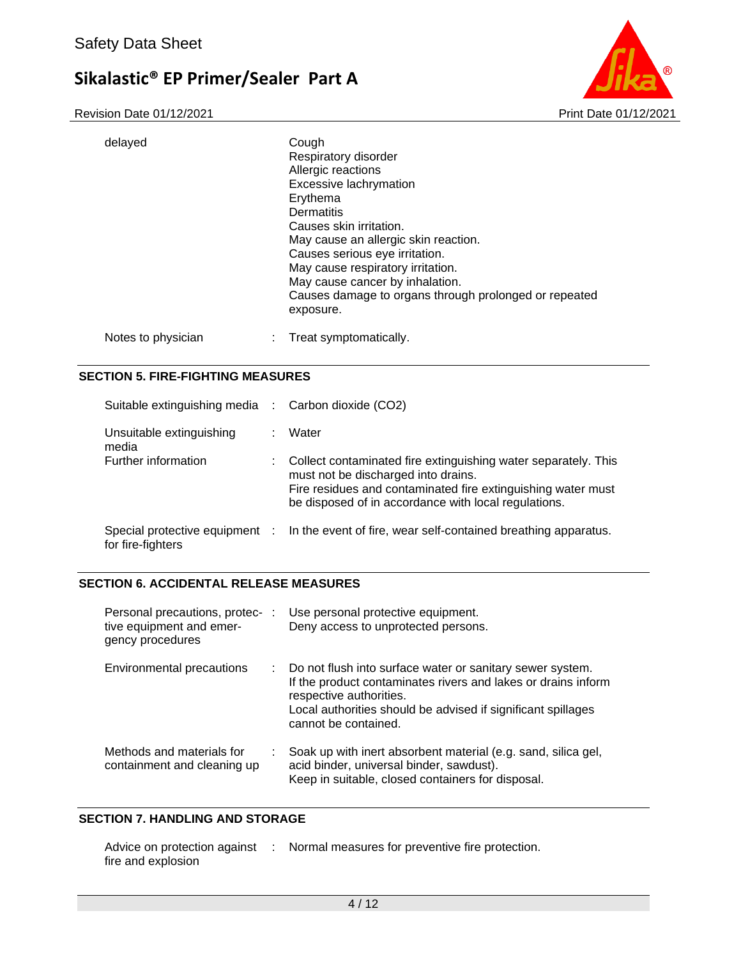Revision Date 01/12/2021 2021



| delayed            | Cough<br>Respiratory disorder<br>Allergic reactions<br>Excessive lachrymation<br>Erythema<br>Dermatitis<br>Causes skin irritation.<br>May cause an allergic skin reaction.<br>Causes serious eye irritation.<br>May cause respiratory irritation.<br>May cause cancer by inhalation.<br>Causes damage to organs through prolonged or repeated<br>exposure. |
|--------------------|------------------------------------------------------------------------------------------------------------------------------------------------------------------------------------------------------------------------------------------------------------------------------------------------------------------------------------------------------------|
| Notes to physician | Treat symptomatically.                                                                                                                                                                                                                                                                                                                                     |

#### **SECTION 5. FIRE-FIGHTING MEASURES**

| Suitable extinguishing media :                      |   | Carbon dioxide (CO2)                                                                                                                                                                                                          |
|-----------------------------------------------------|---|-------------------------------------------------------------------------------------------------------------------------------------------------------------------------------------------------------------------------------|
| Unsuitable extinguishing<br>media                   |   | Water                                                                                                                                                                                                                         |
| Further information                                 | ÷ | Collect contaminated fire extinguishing water separately. This<br>must not be discharged into drains.<br>Fire residues and contaminated fire extinguishing water must<br>be disposed of in accordance with local regulations. |
| Special protective equipment :<br>for fire-fighters |   | In the event of fire, wear self-contained breathing apparatus.                                                                                                                                                                |

#### **SECTION 6. ACCIDENTAL RELEASE MEASURES**

| Personal precautions, protec- :<br>tive equipment and emer-<br>gency procedures | Use personal protective equipment.<br>Deny access to unprotected persons.                                                                                                                                                                       |
|---------------------------------------------------------------------------------|-------------------------------------------------------------------------------------------------------------------------------------------------------------------------------------------------------------------------------------------------|
| Environmental precautions                                                       | : Do not flush into surface water or sanitary sewer system.<br>If the product contaminates rivers and lakes or drains inform<br>respective authorities.<br>Local authorities should be advised if significant spillages<br>cannot be contained. |
| Methods and materials for<br>containment and cleaning up                        | Soak up with inert absorbent material (e.g. sand, silica gel,<br>acid binder, universal binder, sawdust).<br>Keep in suitable, closed containers for disposal.                                                                                  |

#### **SECTION 7. HANDLING AND STORAGE**

| Advice on protection against | Normal measures for preventive fire protection. |
|------------------------------|-------------------------------------------------|
| fire and explosion           |                                                 |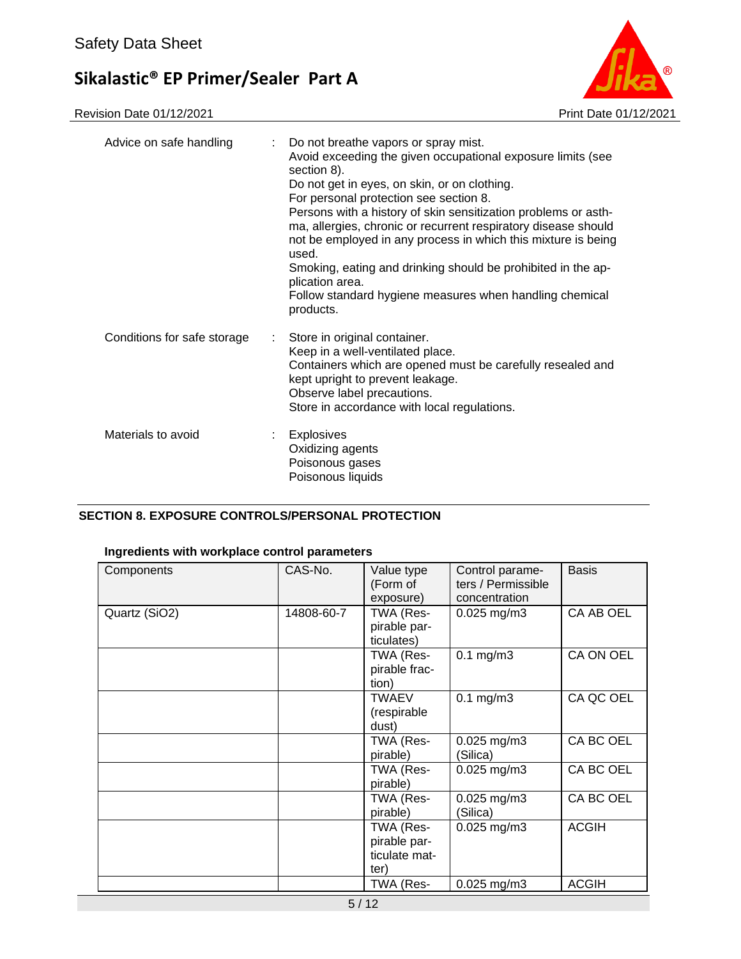

| Advice on safe handling<br>t. | Do not breathe vapors or spray mist.<br>Avoid exceeding the given occupational exposure limits (see<br>section 8).<br>Do not get in eyes, on skin, or on clothing.<br>For personal protection see section 8.<br>Persons with a history of skin sensitization problems or asth-<br>ma, allergies, chronic or recurrent respiratory disease should<br>not be employed in any process in which this mixture is being<br>used.<br>Smoking, eating and drinking should be prohibited in the ap-<br>plication area.<br>Follow standard hygiene measures when handling chemical<br>products. |
|-------------------------------|---------------------------------------------------------------------------------------------------------------------------------------------------------------------------------------------------------------------------------------------------------------------------------------------------------------------------------------------------------------------------------------------------------------------------------------------------------------------------------------------------------------------------------------------------------------------------------------|
| Conditions for safe storage   | Store in original container.<br>Keep in a well-ventilated place.<br>Containers which are opened must be carefully resealed and<br>kept upright to prevent leakage.<br>Observe label precautions.<br>Store in accordance with local regulations.                                                                                                                                                                                                                                                                                                                                       |
| Materials to avoid            | <b>Explosives</b><br>Oxidizing agents<br>Poisonous gases<br>Poisonous liquids                                                                                                                                                                                                                                                                                                                                                                                                                                                                                                         |

#### **SECTION 8. EXPOSURE CONTROLS/PERSONAL PROTECTION**

#### **Ingredients with workplace control parameters**

| Components    | CAS-No.    | Value type<br>(Form of<br>exposure)                | Control parame-<br>ters / Permissible<br>concentration | <b>Basis</b> |
|---------------|------------|----------------------------------------------------|--------------------------------------------------------|--------------|
| Quartz (SiO2) | 14808-60-7 | TWA (Res-<br>pirable par-<br>ticulates)            | $0.025$ mg/m3                                          | CA AB OEL    |
|               |            | TWA (Res-<br>pirable frac-<br>tion)                | $0.1$ mg/m $3$                                         | CA ON OEL    |
|               |            | TWAEV<br>(respirable<br>dust)                      | $0.1$ mg/m $3$                                         | CA QC OEL    |
|               |            | TWA (Res-<br>pirable)                              | $0.025$ mg/m3<br>(Silica)                              | CA BC OEL    |
|               |            | TWA (Res-<br>pirable)                              | $0.025$ mg/m3                                          | CA BC OEL    |
|               |            | TWA (Res-<br>pirable)                              | $0.025$ mg/m3<br>(Silica)                              | CA BC OEL    |
|               |            | TWA (Res-<br>pirable par-<br>ticulate mat-<br>ter) | $0.025$ mg/m $3$                                       | <b>ACGIH</b> |
|               |            | TWA (Res-                                          | $0.025$ mg/m3                                          | <b>ACGIH</b> |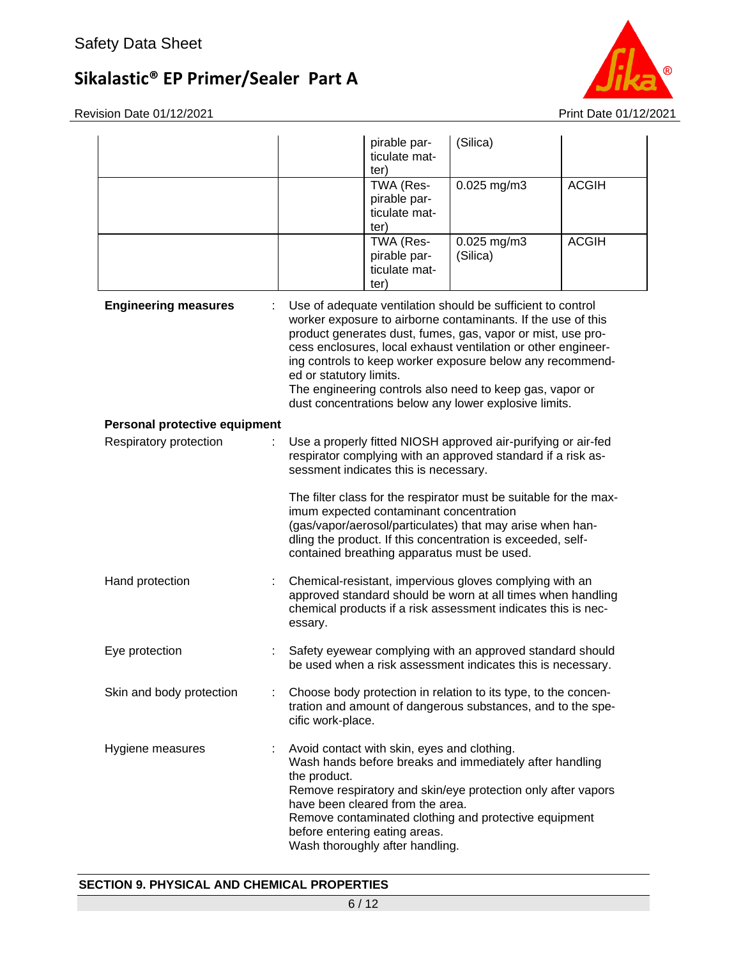Revision Date 01/12/2021 2021



|                               |                         | pirable par-<br>ticulate mat-<br>ter)                                                                                                               | (Silica)                                                                                                                                                                                                                                                                                                                                                                                                                                      |              |
|-------------------------------|-------------------------|-----------------------------------------------------------------------------------------------------------------------------------------------------|-----------------------------------------------------------------------------------------------------------------------------------------------------------------------------------------------------------------------------------------------------------------------------------------------------------------------------------------------------------------------------------------------------------------------------------------------|--------------|
|                               |                         | TWA (Res-<br>pirable par-<br>ticulate mat-<br>ter)                                                                                                  | 0.025 mg/m3                                                                                                                                                                                                                                                                                                                                                                                                                                   | <b>ACGIH</b> |
|                               |                         | TWA (Res-<br>pirable par-<br>ticulate mat-<br>ter)                                                                                                  | 0.025 mg/m3<br>(Silica)                                                                                                                                                                                                                                                                                                                                                                                                                       | <b>ACGIH</b> |
| <b>Engineering measures</b>   | ed or statutory limits. |                                                                                                                                                     | Use of adequate ventilation should be sufficient to control<br>worker exposure to airborne contaminants. If the use of this<br>product generates dust, fumes, gas, vapor or mist, use pro-<br>cess enclosures, local exhaust ventilation or other engineer-<br>ing controls to keep worker exposure below any recommend-<br>The engineering controls also need to keep gas, vapor or<br>dust concentrations below any lower explosive limits. |              |
| Personal protective equipment |                         |                                                                                                                                                     |                                                                                                                                                                                                                                                                                                                                                                                                                                               |              |
| Respiratory protection        |                         | sessment indicates this is necessary.                                                                                                               | Use a properly fitted NIOSH approved air-purifying or air-fed<br>respirator complying with an approved standard if a risk as-                                                                                                                                                                                                                                                                                                                 |              |
|                               |                         | imum expected contaminant concentration<br>contained breathing apparatus must be used.                                                              | The filter class for the respirator must be suitable for the max-<br>(gas/vapor/aerosol/particulates) that may arise when han-<br>dling the product. If this concentration is exceeded, self-                                                                                                                                                                                                                                                 |              |
| Hand protection               | essary.                 |                                                                                                                                                     | Chemical-resistant, impervious gloves complying with an<br>approved standard should be worn at all times when handling<br>chemical products if a risk assessment indicates this is nec-                                                                                                                                                                                                                                                       |              |
| Eye protection                |                         |                                                                                                                                                     | Safety eyewear complying with an approved standard should<br>be used when a risk assessment indicates this is necessary.                                                                                                                                                                                                                                                                                                                      |              |
| Skin and body protection      | cific work-place.       |                                                                                                                                                     | Choose body protection in relation to its type, to the concen-<br>tration and amount of dangerous substances, and to the spe-                                                                                                                                                                                                                                                                                                                 |              |
| Hygiene measures              | the product.            | Avoid contact with skin, eyes and clothing.<br>have been cleared from the area.<br>before entering eating areas.<br>Wash thoroughly after handling. | Wash hands before breaks and immediately after handling<br>Remove respiratory and skin/eye protection only after vapors<br>Remove contaminated clothing and protective equipment                                                                                                                                                                                                                                                              |              |

### **SECTION 9. PHYSICAL AND CHEMICAL PROPERTIES**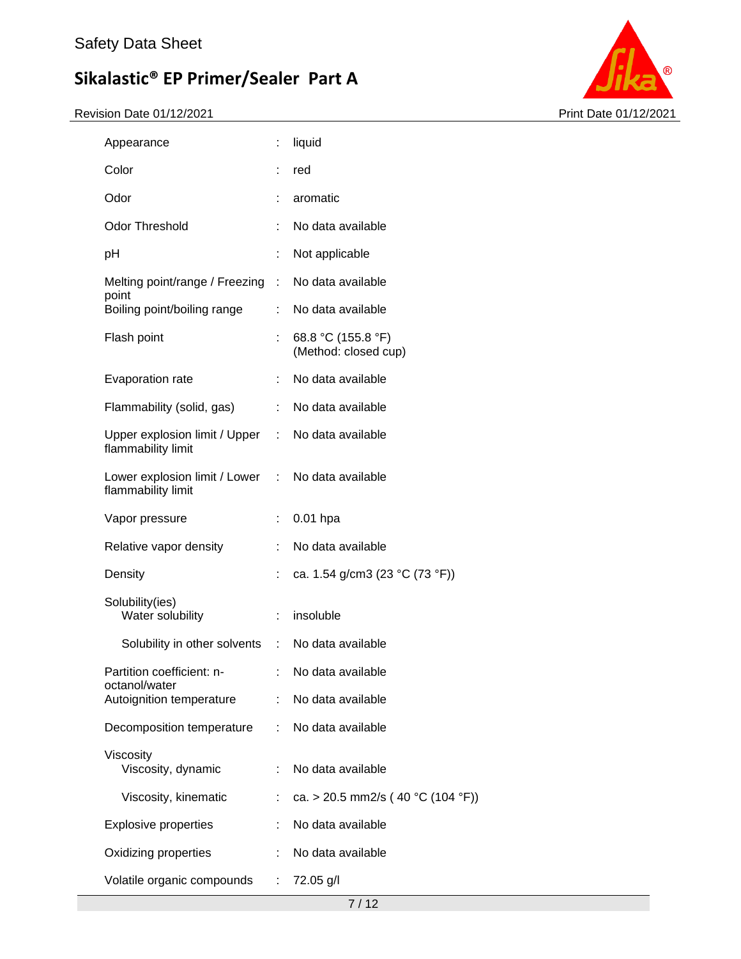

| Appearance                                            |    | liquid                                     |
|-------------------------------------------------------|----|--------------------------------------------|
| Color                                                 |    | red                                        |
| Odor                                                  | t. | aromatic                                   |
| <b>Odor Threshold</b>                                 | ÷  | No data available                          |
| рH                                                    | t  | Not applicable                             |
| Melting point/range / Freezing :<br>point             |    | No data available                          |
| Boiling point/boiling range                           | ÷. | No data available                          |
| Flash point                                           |    | 68.8 °C (155.8 °F)<br>(Method: closed cup) |
| Evaporation rate                                      | t. | No data available                          |
| Flammability (solid, gas)                             | ÷. | No data available                          |
| Upper explosion limit / Upper :<br>flammability limit |    | No data available                          |
| Lower explosion limit / Lower :<br>flammability limit |    | No data available                          |
| Vapor pressure                                        |    | $0.01$ hpa                                 |
| Relative vapor density                                | t. | No data available                          |
| Density                                               |    | ca. 1.54 g/cm3 (23 °C (73 °F))             |
| Solubility(ies)<br>Water solubility                   |    | insoluble                                  |
| Solubility in other solvents :                        |    | No data available                          |
| Partition coefficient: n-<br>octanol/water            |    | No data available                          |
| Autoignition temperature                              |    | No data available                          |
| Decomposition temperature                             | ÷. | No data available                          |
| Viscosity<br>Viscosity, dynamic                       | ÷  | No data available                          |
| Viscosity, kinematic                                  |    | ca. > 20.5 mm2/s (40 °C (104 °F))          |
| <b>Explosive properties</b>                           |    | No data available                          |
| Oxidizing properties                                  |    | No data available                          |
| Volatile organic compounds                            | t. | 72.05 g/l                                  |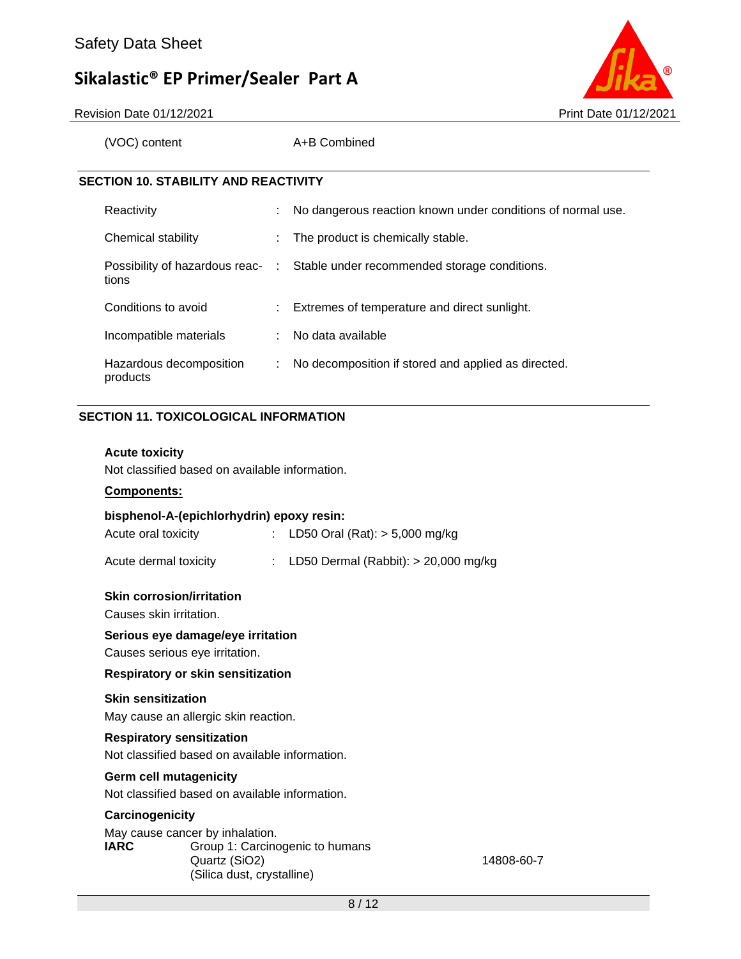

Revision Date 01/12/2021 **Print Date 01/12/2021** Print Date 01/12/2021

(VOC) content A+B Combined

#### **SECTION 10. STABILITY AND REACTIVITY**

| Reactivity                          |    | No dangerous reaction known under conditions of normal use.                   |
|-------------------------------------|----|-------------------------------------------------------------------------------|
| Chemical stability                  |    | The product is chemically stable.                                             |
| tions                               |    | Possibility of hazardous reac- : Stable under recommended storage conditions. |
| Conditions to avoid                 |    | : Extremes of temperature and direct sunlight.                                |
| Incompatible materials              |    | : No data available                                                           |
| Hazardous decomposition<br>products | ÷. | No decomposition if stored and applied as directed.                           |

#### **SECTION 11. TOXICOLOGICAL INFORMATION**

#### **Acute toxicity**

Not classified based on available information.

#### **Components:**

| bisphenol-A-(epichlorhydrin) epoxy resin: |  |                                          |  |  |
|-------------------------------------------|--|------------------------------------------|--|--|
| Acute oral toxicity                       |  | : LD50 Oral (Rat): $>$ 5,000 mg/kg       |  |  |
| Acute dermal toxicity                     |  | : LD50 Dermal (Rabbit): $> 20,000$ mg/kg |  |  |

#### **Skin corrosion/irritation**

Causes skin irritation.

#### **Serious eye damage/eye irritation**

Causes serious eye irritation.

#### **Respiratory or skin sensitization**

#### **Skin sensitization**

May cause an allergic skin reaction.

#### **Respiratory sensitization**

Not classified based on available information.

#### **Germ cell mutagenicity**

Not classified based on available information.

#### **Carcinogenicity**

May cause cancer by inhalation. **IARC** Group 1: Carcinogenic to humans Quartz (SiO2) 14808-60-7 (Silica dust, crystalline)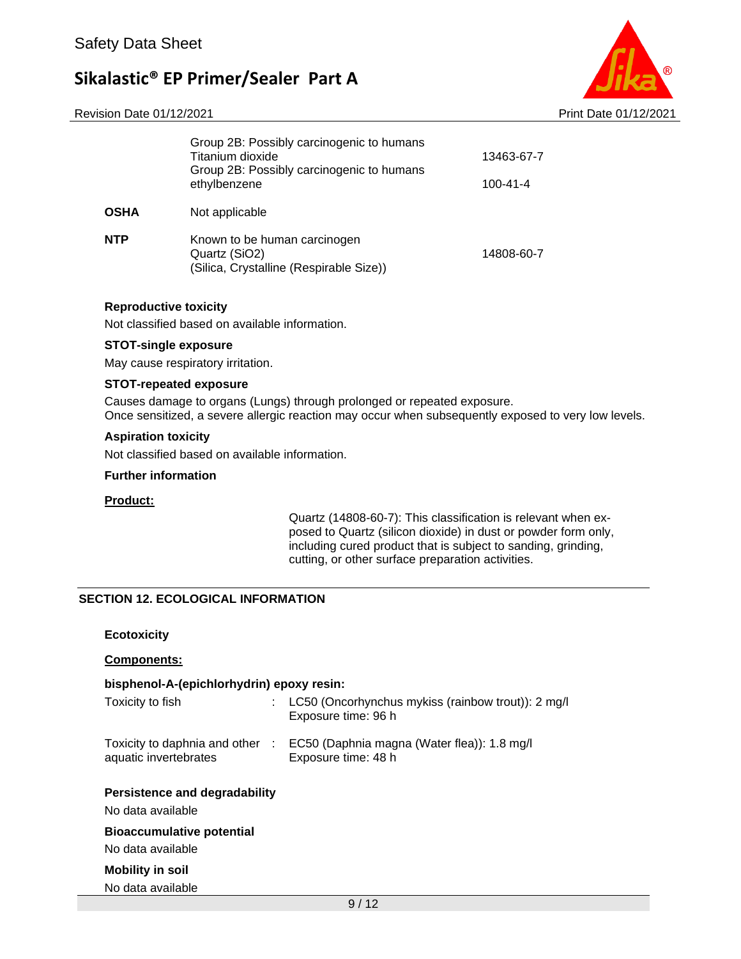#### Revision Date 01/12/2021 **Print Date 01/12/2021** Print Date 01/12/2021

|      | Group 2B: Possibly carcinogenic to humans<br>Titanium dioxide<br>Group 2B: Possibly carcinogenic to humans<br>ethylbenzene | 13463-67-7<br>$100 - 41 - 4$ |
|------|----------------------------------------------------------------------------------------------------------------------------|------------------------------|
| OSHA | Not applicable                                                                                                             |                              |
| NTP  | Known to be human carcinogen<br>Quartz (SiO2)<br>(Silica, Crystalline (Respirable Size))                                   | 14808-60-7                   |

#### **Reproductive toxicity**

Not classified based on available information.

#### **STOT-single exposure**

May cause respiratory irritation.

#### **STOT-repeated exposure**

Causes damage to organs (Lungs) through prolonged or repeated exposure. Once sensitized, a severe allergic reaction may occur when subsequently exposed to very low levels.

#### **Aspiration toxicity**

Not classified based on available information.

#### **Further information**

#### **Product:**

Quartz (14808-60-7): This classification is relevant when exposed to Quartz (silicon dioxide) in dust or powder form only, including cured product that is subject to sanding, grinding, cutting, or other surface preparation activities.

#### **SECTION 12. ECOLOGICAL INFORMATION**

#### **Components:**

#### **bisphenol-A-(epichlorhydrin) epoxy resin:**

| Toxicity to fish                                         | LC50 (Oncorhynchus mykiss (rainbow trout)): 2 mg/l<br>Exposure time: 96 h |
|----------------------------------------------------------|---------------------------------------------------------------------------|
| Toxicity to daphnia and other :<br>aquatic invertebrates | EC50 (Daphnia magna (Water flea)): 1.8 mg/l<br>Exposure time: 48 h        |
| Persistence and degradability<br>No data available       |                                                                           |
| <b>Bioaccumulative potential</b><br>No data available    |                                                                           |
| <b>Mobility in soil</b>                                  |                                                                           |

No data available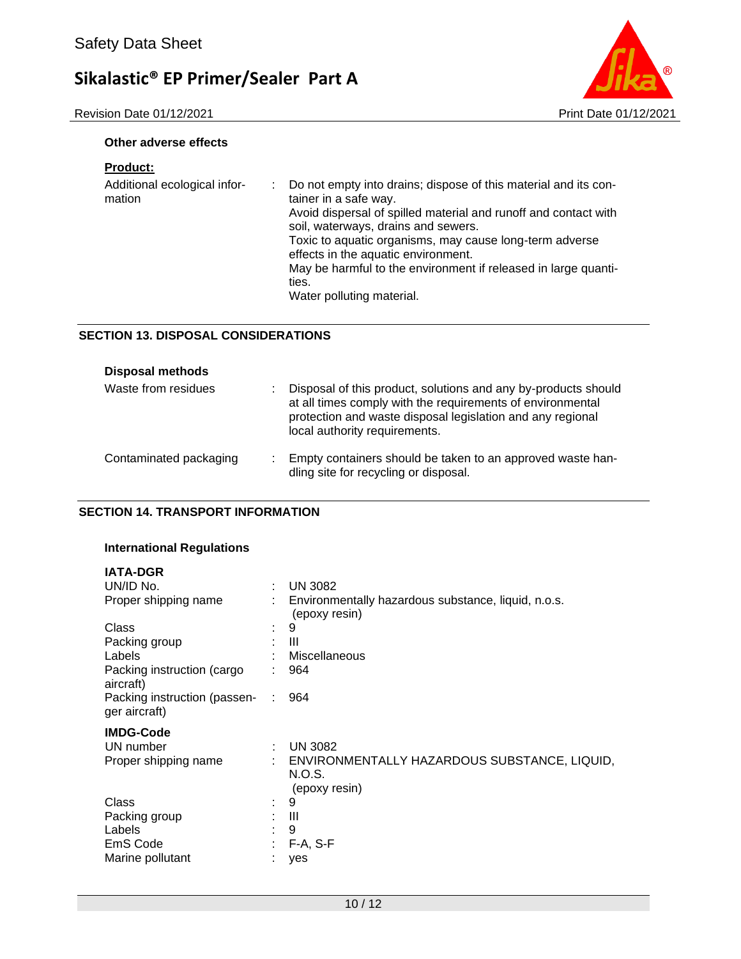Revision Date 01/12/2021 2021



#### **Other adverse effects**

#### **Product:**

| Additional ecological infor-<br>mation | di s | Do not empty into drains; dispose of this material and its con-<br>tainer in a safe way.<br>Avoid dispersal of spilled material and runoff and contact with<br>soil, waterways, drains and sewers.<br>Toxic to aquatic organisms, may cause long-term adverse<br>effects in the aquatic environment.<br>May be harmful to the environment if released in large quanti-<br>ties. |
|----------------------------------------|------|---------------------------------------------------------------------------------------------------------------------------------------------------------------------------------------------------------------------------------------------------------------------------------------------------------------------------------------------------------------------------------|
|                                        |      | Water polluting material.                                                                                                                                                                                                                                                                                                                                                       |

#### **SECTION 13. DISPOSAL CONSIDERATIONS**

| <b>Disposal methods</b> |   |                                                                                                                                                                                                                             |
|-------------------------|---|-----------------------------------------------------------------------------------------------------------------------------------------------------------------------------------------------------------------------------|
| Waste from residues     | ٠ | Disposal of this product, solutions and any by-products should<br>at all times comply with the requirements of environmental<br>protection and waste disposal legislation and any regional<br>local authority requirements. |
| Contaminated packaging  | ٠ | Empty containers should be taken to an approved waste han-<br>dling site for recycling or disposal.                                                                                                                         |

#### **SECTION 14. TRANSPORT INFORMATION**

#### **International Regulations**

| <b>IATA-DGR</b><br>UN/ID No.<br>Proper shipping name |    | <b>UN 3082</b><br>Environmentally hazardous substance, liquid, n.o.s.   |
|------------------------------------------------------|----|-------------------------------------------------------------------------|
|                                                      |    | (epoxy resin)                                                           |
| Class                                                |    | 9                                                                       |
| Packing group                                        |    | Ш                                                                       |
| Labels                                               |    | Miscellaneous                                                           |
| Packing instruction (cargo<br>aircraft)              |    | 964                                                                     |
| Packing instruction (passen-<br>ger aircraft)        | ÷. | 964                                                                     |
| <b>IMDG-Code</b>                                     |    |                                                                         |
| UN number                                            | ÷  | <b>UN 3082</b>                                                          |
| Proper shipping name                                 |    | ENVIRONMENTALLY HAZARDOUS SUBSTANCE, LIQUID,<br>N.O.S.<br>(epoxy resin) |
| Class                                                | ۰. | 9                                                                       |
| Packing group                                        | ÷  | Ш                                                                       |
| Labels                                               | ٠  | 9                                                                       |
| EmS Code                                             | ÷  | $F-A, S-F$                                                              |
| Marine pollutant                                     |    | yes                                                                     |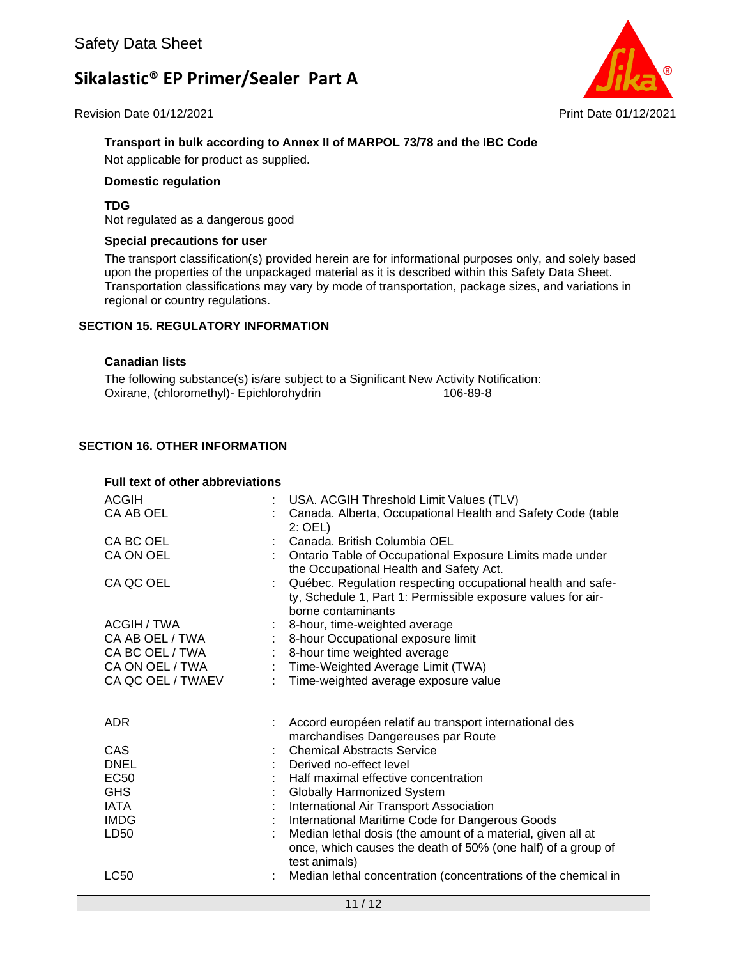Revision Date 01/12/2021 **Print Date 01/12/2021** Print Date 01/12/2021



#### **Transport in bulk according to Annex II of MARPOL 73/78 and the IBC Code**

Not applicable for product as supplied.

#### **Domestic regulation**

#### **TDG**

Not regulated as a dangerous good

#### **Special precautions for user**

The transport classification(s) provided herein are for informational purposes only, and solely based upon the properties of the unpackaged material as it is described within this Safety Data Sheet. Transportation classifications may vary by mode of transportation, package sizes, and variations in regional or country regulations.

#### **SECTION 15. REGULATORY INFORMATION**

#### **Canadian lists**

The following substance(s) is/are subject to a Significant New Activity Notification: Oxirane, (chloromethyl)- Epichlorohydrin 106-89-8

#### **SECTION 16. OTHER INFORMATION**

| <b>ACGIH</b><br>USA. ACGIH Threshold Limit Values (TLV)<br>Canada. Alberta, Occupational Health and Safety Code (table<br>CA AB OEL<br>$2:$ OEL)<br>CA BC OEL<br>Canada. British Columbia OEL<br>CA ON OEL<br>Ontario Table of Occupational Exposure Limits made under<br>the Occupational Health and Safety Act.<br>Québec. Regulation respecting occupational health and safe-<br>CA QC OEL<br>ty, Schedule 1, Part 1: Permissible exposure values for air-<br>borne contaminants<br>ACGIH / TWA<br>8-hour, time-weighted average<br>CA AB OEL / TWA<br>8-hour Occupational exposure limit<br>CA BC OEL / TWA<br>8-hour time weighted average<br>$\mathcal{L}_{\mathrm{eff}}$<br>: Time-Weighted Average Limit (TWA)<br>CA ON OEL / TWA<br>Time-weighted average exposure value<br>CA QC OEL / TWAEV<br><b>ADR</b><br>Accord européen relatif au transport international des<br>marchandises Dangereuses par Route<br><b>Chemical Abstracts Service</b><br>CAS<br><b>DNEL</b><br>Derived no-effect level<br><b>EC50</b><br>Half maximal effective concentration<br><b>GHS</b><br><b>Globally Harmonized System</b><br><b>IATA</b><br>International Air Transport Association<br>International Maritime Code for Dangerous Goods<br><b>IMDG</b><br>Median lethal dosis (the amount of a material, given all at<br>LD50<br>once, which causes the death of 50% (one half) of a group of<br>test animals)<br><b>LC50</b><br>Median lethal concentration (concentrations of the chemical in | <b>Full text of other abbreviations</b> |  |  |
|-------------------------------------------------------------------------------------------------------------------------------------------------------------------------------------------------------------------------------------------------------------------------------------------------------------------------------------------------------------------------------------------------------------------------------------------------------------------------------------------------------------------------------------------------------------------------------------------------------------------------------------------------------------------------------------------------------------------------------------------------------------------------------------------------------------------------------------------------------------------------------------------------------------------------------------------------------------------------------------------------------------------------------------------------------------------------------------------------------------------------------------------------------------------------------------------------------------------------------------------------------------------------------------------------------------------------------------------------------------------------------------------------------------------------------------------------------------------------------------------|-----------------------------------------|--|--|
|                                                                                                                                                                                                                                                                                                                                                                                                                                                                                                                                                                                                                                                                                                                                                                                                                                                                                                                                                                                                                                                                                                                                                                                                                                                                                                                                                                                                                                                                                           |                                         |  |  |
|                                                                                                                                                                                                                                                                                                                                                                                                                                                                                                                                                                                                                                                                                                                                                                                                                                                                                                                                                                                                                                                                                                                                                                                                                                                                                                                                                                                                                                                                                           |                                         |  |  |
|                                                                                                                                                                                                                                                                                                                                                                                                                                                                                                                                                                                                                                                                                                                                                                                                                                                                                                                                                                                                                                                                                                                                                                                                                                                                                                                                                                                                                                                                                           |                                         |  |  |
|                                                                                                                                                                                                                                                                                                                                                                                                                                                                                                                                                                                                                                                                                                                                                                                                                                                                                                                                                                                                                                                                                                                                                                                                                                                                                                                                                                                                                                                                                           |                                         |  |  |
|                                                                                                                                                                                                                                                                                                                                                                                                                                                                                                                                                                                                                                                                                                                                                                                                                                                                                                                                                                                                                                                                                                                                                                                                                                                                                                                                                                                                                                                                                           |                                         |  |  |
|                                                                                                                                                                                                                                                                                                                                                                                                                                                                                                                                                                                                                                                                                                                                                                                                                                                                                                                                                                                                                                                                                                                                                                                                                                                                                                                                                                                                                                                                                           |                                         |  |  |
|                                                                                                                                                                                                                                                                                                                                                                                                                                                                                                                                                                                                                                                                                                                                                                                                                                                                                                                                                                                                                                                                                                                                                                                                                                                                                                                                                                                                                                                                                           |                                         |  |  |
|                                                                                                                                                                                                                                                                                                                                                                                                                                                                                                                                                                                                                                                                                                                                                                                                                                                                                                                                                                                                                                                                                                                                                                                                                                                                                                                                                                                                                                                                                           |                                         |  |  |
|                                                                                                                                                                                                                                                                                                                                                                                                                                                                                                                                                                                                                                                                                                                                                                                                                                                                                                                                                                                                                                                                                                                                                                                                                                                                                                                                                                                                                                                                                           |                                         |  |  |
|                                                                                                                                                                                                                                                                                                                                                                                                                                                                                                                                                                                                                                                                                                                                                                                                                                                                                                                                                                                                                                                                                                                                                                                                                                                                                                                                                                                                                                                                                           |                                         |  |  |
|                                                                                                                                                                                                                                                                                                                                                                                                                                                                                                                                                                                                                                                                                                                                                                                                                                                                                                                                                                                                                                                                                                                                                                                                                                                                                                                                                                                                                                                                                           |                                         |  |  |
|                                                                                                                                                                                                                                                                                                                                                                                                                                                                                                                                                                                                                                                                                                                                                                                                                                                                                                                                                                                                                                                                                                                                                                                                                                                                                                                                                                                                                                                                                           |                                         |  |  |
|                                                                                                                                                                                                                                                                                                                                                                                                                                                                                                                                                                                                                                                                                                                                                                                                                                                                                                                                                                                                                                                                                                                                                                                                                                                                                                                                                                                                                                                                                           |                                         |  |  |
|                                                                                                                                                                                                                                                                                                                                                                                                                                                                                                                                                                                                                                                                                                                                                                                                                                                                                                                                                                                                                                                                                                                                                                                                                                                                                                                                                                                                                                                                                           |                                         |  |  |
|                                                                                                                                                                                                                                                                                                                                                                                                                                                                                                                                                                                                                                                                                                                                                                                                                                                                                                                                                                                                                                                                                                                                                                                                                                                                                                                                                                                                                                                                                           |                                         |  |  |
|                                                                                                                                                                                                                                                                                                                                                                                                                                                                                                                                                                                                                                                                                                                                                                                                                                                                                                                                                                                                                                                                                                                                                                                                                                                                                                                                                                                                                                                                                           |                                         |  |  |
|                                                                                                                                                                                                                                                                                                                                                                                                                                                                                                                                                                                                                                                                                                                                                                                                                                                                                                                                                                                                                                                                                                                                                                                                                                                                                                                                                                                                                                                                                           |                                         |  |  |
|                                                                                                                                                                                                                                                                                                                                                                                                                                                                                                                                                                                                                                                                                                                                                                                                                                                                                                                                                                                                                                                                                                                                                                                                                                                                                                                                                                                                                                                                                           |                                         |  |  |
|                                                                                                                                                                                                                                                                                                                                                                                                                                                                                                                                                                                                                                                                                                                                                                                                                                                                                                                                                                                                                                                                                                                                                                                                                                                                                                                                                                                                                                                                                           |                                         |  |  |